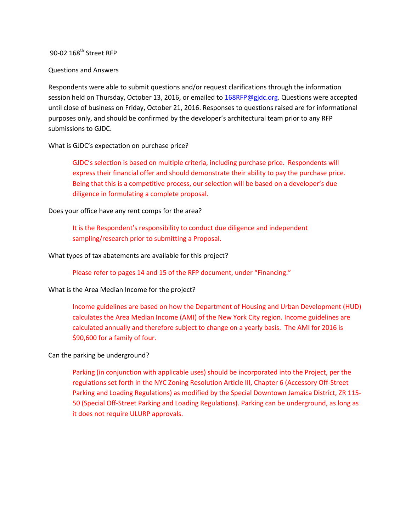# 90-02 168<sup>th</sup> Street RFP

#### Questions and Answers

Respondents were able to submit questions and/or request clarifications through the information session held on Thursday, October 13, 2016, or emailed t[o 168RFP@gjdc.org.](mailto:168RFP@gjdc.org) Questions were accepted until close of business on Friday, October 21, 2016. Responses to questions raised are for informational purposes only, and should be confirmed by the developer's architectural team prior to any RFP submissions to GJDC.

## What is GJDC's expectation on purchase price?

GJDC's selection is based on multiple criteria, including purchase price. Respondents will express their financial offer and should demonstrate their ability to pay the purchase price. Being that this is a competitive process, our selection will be based on a developer's due diligence in formulating a complete proposal.

### Does your office have any rent comps for the area?

It is the Respondent's responsibility to conduct due diligence and independent sampling/research prior to submitting a Proposal.

### What types of tax abatements are available for this project?

Please refer to pages 14 and 15 of the RFP document, under "Financing."

## What is the Area Median Income for the project?

Income guidelines are based on how the Department of Housing and Urban Development (HUD) calculates the Area Median Income (AMI) of the New York City region. Income guidelines are calculated annually and therefore subject to change on a yearly basis. The AMI for 2016 is \$90,600 for a family of four.

## Can the parking be underground?

Parking (in conjunction with applicable uses) should be incorporated into the Project, per the regulations set forth in the NYC Zoning Resolution Article III, Chapter 6 (Accessory Off‐Street Parking and Loading Regulations) as modified by the Special Downtown Jamaica District, ZR 115‐ 50 (Special Off-Street Parking and Loading Regulations). Parking can be underground, as long as it does not require ULURP approvals.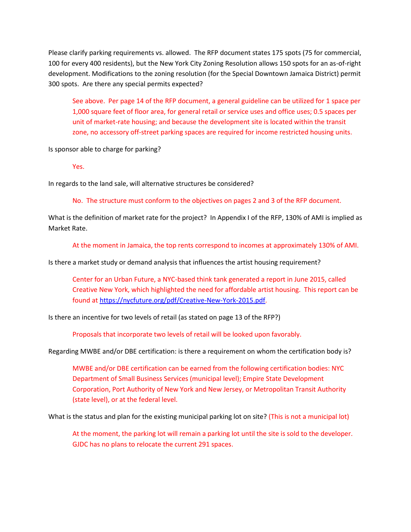Please clarify parking requirements vs. allowed. The RFP document states 175 spots (75 for commercial, 100 for every 400 residents), but the New York City Zoning Resolution allows 150 spots for an as-of-right development. Modifications to the zoning resolution (for the Special Downtown Jamaica District) permit 300 spots. Are there any special permits expected?

See above. Per page 14 of the RFP document, a general guideline can be utilized for 1 space per 1,000 square feet of floor area, for general retail or service uses and office uses; 0.5 spaces per unit of market-rate housing; and because the development site is located within the transit zone, no accessory off-street parking spaces are required for income restricted housing units.

Is sponsor able to charge for parking?

Yes.

In regards to the land sale, will alternative structures be considered?

No. The structure must conform to the objectives on pages 2 and 3 of the RFP document.

What is the definition of market rate for the project? In Appendix I of the RFP, 130% of AMI is implied as Market Rate.

At the moment in Jamaica, the top rents correspond to incomes at approximately 130% of AMI.

Is there a market study or demand analysis that influences the artist housing requirement?

Center for an Urban Future, a NYC-based think tank generated a report in June 2015, called Creative New York, which highlighted the need for affordable artist housing. This report can be found a[t https://nycfuture.org/pdf/Creative-New-York-2015.pdf.](https://nycfuture.org/pdf/Creative-New-York-2015.pdf)

Is there an incentive for two levels of retail (as stated on page 13 of the RFP?)

Proposals that incorporate two levels of retail will be looked upon favorably.

Regarding MWBE and/or DBE certification: is there a requirement on whom the certification body is?

MWBE and/or DBE certification can be earned from the following certification bodies: NYC Department of Small Business Services (municipal level); Empire State Development Corporation, Port Authority of New York and New Jersey, or Metropolitan Transit Authority (state level), or at the federal level.

What is the status and plan for the existing municipal parking lot on site? (This is not a municipal lot)

At the moment, the parking lot will remain a parking lot until the site is sold to the developer. GJDC has no plans to relocate the current 291 spaces.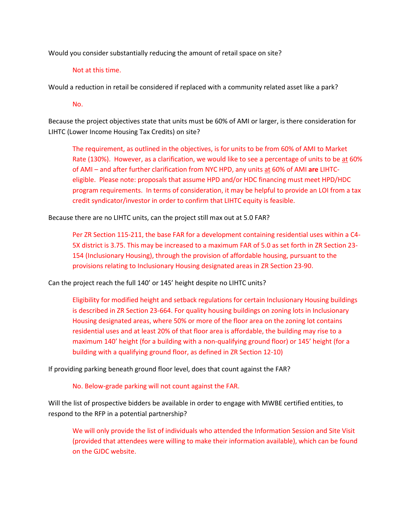Would you consider substantially reducing the amount of retail space on site?

## Not at this time.

Would a reduction in retail be considered if replaced with a community related asset like a park?

No.

Because the project objectives state that units must be 60% of AMI or larger, is there consideration for LIHTC (Lower Income Housing Tax Credits) on site?

The requirement, as outlined in the objectives, is for units to be from 60% of AMI to Market Rate (130%). However, as a clarification, we would like to see a percentage of units to be at 60% of AMI – and after further clarification from NYC HPD, any units at 60% of AMI **are** LIHTCeligible. Please note: proposals that assume HPD and/or HDC financing must meet HPD/HDC program requirements. In terms of consideration, it may be helpful to provide an LOI from a tax credit syndicator/investor in order to confirm that LIHTC equity is feasible.

Because there are no LIHTC units, can the project still max out at 5.0 FAR?

Per ZR Section 115-211, the base FAR for a development containing residential uses within a C4- 5X district is 3.75. This may be increased to a maximum FAR of 5.0 as set forth in ZR Section 23- 154 (Inclusionary Housing), through the provision of affordable housing, pursuant to the provisions relating to Inclusionary Housing designated areas in ZR Section 23-90.

Can the project reach the full 140' or 145' height despite no LIHTC units?

Eligibility for modified height and setback regulations for certain Inclusionary Housing buildings is described in ZR Section 23-664. For quality housing buildings on zoning lots in Inclusionary Housing designated areas, where 50% or more of the floor area on the zoning lot contains residential uses and at least 20% of that floor area is affordable, the building may rise to a maximum 140' height (for a building with a non-qualifying ground floor) or 145' height (for a building with a qualifying ground floor, as defined in ZR Section 12-10)

If providing parking beneath ground floor level, does that count against the FAR?

No. Below-grade parking will not count against the FAR.

Will the list of prospective bidders be available in order to engage with MWBE certified entities, to respond to the RFP in a potential partnership?

We will only provide the list of individuals who attended the Information Session and Site Visit (provided that attendees were willing to make their information available), which can be found on the GJDC website.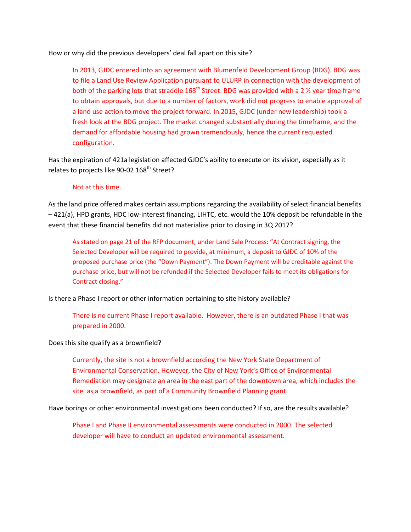How or why did the previous developers' deal fall apart on this site?

In 2013, GJDC entered into an agreement with Blumenfeld Development Group (BDG). BDG was to file a Land Use Review Application pursuant to ULURP in connection with the development of both of the parking lots that straddle 168<sup>th</sup> Street. BDG was provided with a 2  $\frac{1}{2}$  year time frame to obtain approvals, but due to a number of factors, work did not progress to enable approval of a land use action to move the project forward. In 2015, GJDC (under new leadership) took a fresh look at the BDG project. The market changed substantially during the timeframe, and the demand for affordable housing had grown tremendously, hence the current requested configuration.

Has the expiration of 421a legislation affected GJDC's ability to execute on its vision, especially as it relates to projects like 90-02 168<sup>th</sup> Street?

### Not at this time.

As the land price offered makes certain assumptions regarding the availability of select financial benefits – 421(a), HPD grants, HDC low-interest financing, LIHTC, etc. would the 10% deposit be refundable in the event that these financial benefits did not materialize prior to closing in 3Q 2017?

As stated on page 21 of the RFP document, under Land Sale Process: "At Contract signing, the Selected Developer will be required to provide, at minimum, a deposit to GJDC of 10% of the proposed purchase price (the "Down Payment"). The Down Payment will be creditable against the purchase price, but will not be refunded if the Selected Developer fails to meet its obligations for Contract closing."

Is there a Phase I report or other information pertaining to site history available?

There is no current Phase I report available. However, there is an outdated Phase I that was prepared in 2000.

Does this site qualify as a brownfield?

Currently, the site is not a brownfield according the New York State Department of Environmental Conservation. However, the City of New York's Office of Environmental Remediation may designate an area in the east part of the downtown area, which includes the site, as a brownfield, as part of a Community Brownfield Planning grant.

Have borings or other environmental investigations been conducted? If so, are the results available?

Phase I and Phase II environmental assessments were conducted in 2000. The selected developer will have to conduct an updated environmental assessment.